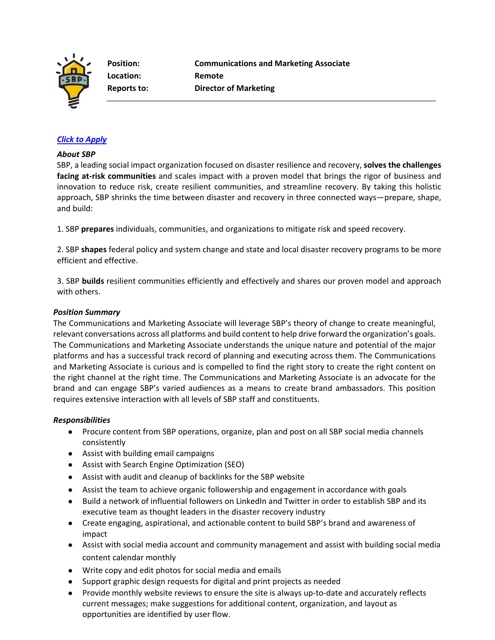

**Location: Remote** 

**Position: Communications and Marketing Associate Reports to: Director of Marketing** 

## *[Click to Apply](https://recruiting.paylocity.com/recruiting/jobs/Apply/1140725/SBP/Communications-and-Marketing-Associate)*

#### *About SBP*

SBP, a leading social impact organization focused on disaster resilience and recovery, **solves the challenges facing at-risk communities** and scales impact with a proven model that brings the rigor of business and innovation to reduce risk, create resilient communities, and streamline recovery. By taking this holistic approach, SBP shrinks the time between disaster and recovery in three connected ways—prepare, shape, and build:

1. SBP **prepares** individuals, communities, and organizations to mitigate risk and speed recovery.

2. SBP **shapes** federal policy and system change and state and local disaster recovery programs to be more efficient and effective.

3. SBP **builds** resilient communities efficiently and effectively and shares our proven model and approach with others.

#### *Position Summary*

The Communications and Marketing Associate will leverage SBP's theory of change to create meaningful, relevant conversations across all platforms and build content to help drive forward the organization's goals. The Communications and Marketing Associate understands the unique nature and potential of the major platforms and has a successful track record of planning and executing across them. The Communications and Marketing Associate is curious and is compelled to find the right story to create the right content on the right channel at the right time. The Communications and Marketing Associate is an advocate for the brand and can engage SBP's varied audiences as a means to create brand ambassadors. This position requires extensive interaction with all levels of SBP staff and constituents.

### *Responsibilities*

- Procure content from SBP operations, organize, plan and post on all SBP social media channels consistently
- Assist with building email campaigns
- Assist with Search Engine Optimization (SEO)
- Assist with audit and cleanup of backlinks for the SBP website
- Assist the team to achieve organic followership and engagement in accordance with goals
- Build a network of influential followers on LinkedIn and Twitter in order to establish SBP and its executive team as thought leaders in the disaster recovery industry
- Create engaging, aspirational, and actionable content to build SBP's brand and awareness of impact
- Assist with social media account and community management and assist with building social media content calendar monthly
- Write copy and edit photos for social media and emails
- Support graphic design requests for digital and print projects as needed
- Provide monthly website reviews to ensure the site is always up-to-date and accurately reflects current messages; make suggestions for additional content, organization, and layout as opportunities are identified by user flow.